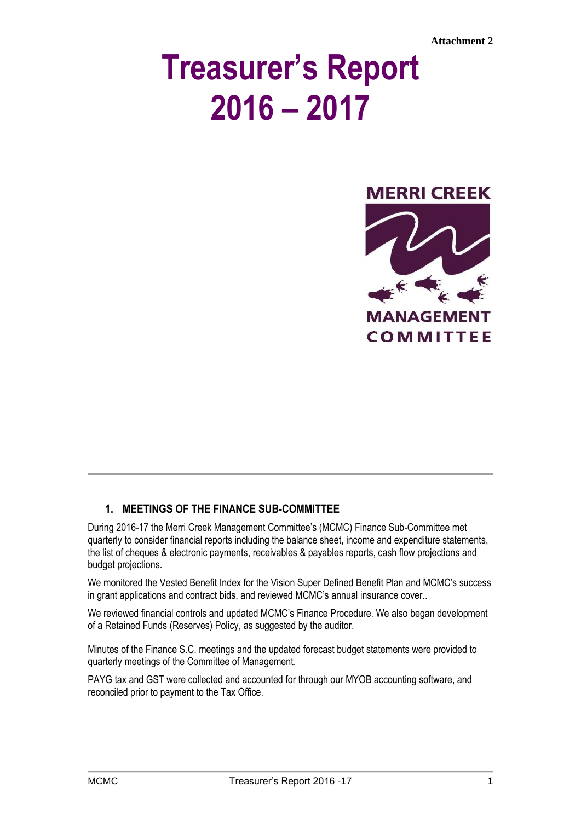# **Treasurer's Report 2016 – 2017**



### **1. MEETINGS OF THE FINANCE SUB-COMMITTEE**

During 2016-17 the Merri Creek Management Committee's (MCMC) Finance Sub-Committee met quarterly to consider financial reports including the balance sheet, income and expenditure statements, the list of cheques & electronic payments, receivables & payables reports, cash flow projections and budget projections.

We monitored the Vested Benefit Index for the Vision Super Defined Benefit Plan and MCMC's success in grant applications and contract bids, and reviewed MCMC's annual insurance cover..

We reviewed financial controls and updated MCMC's Finance Procedure. We also began development of a Retained Funds (Reserves) Policy, as suggested by the auditor.

Minutes of the Finance S.C. meetings and the updated forecast budget statements were provided to quarterly meetings of the Committee of Management.

PAYG tax and GST were collected and accounted for through our MYOB accounting software, and reconciled prior to payment to the Tax Office.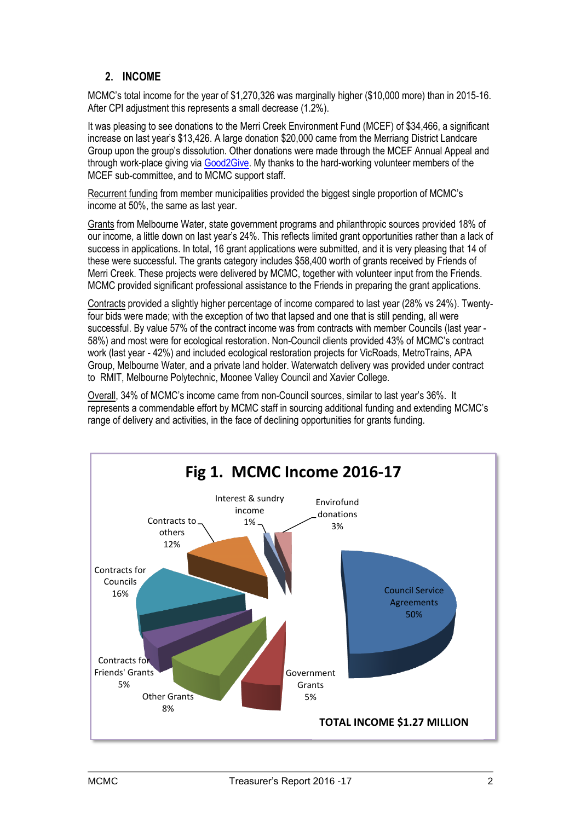# **2. INCOME**

MCMC's total income for the year of \$1,270,326 was marginally higher (\$10,000 more) than in 2015-16. After CPI adjustment this represents a small decrease (1.2%).

It was pleasing to see donations to the Merri Creek Environment Fund (MCEF) of \$34,466, a significant increase on last year's \$13,426. A large donation \$20,000 came from the Merriang District Landcare Group upon the group's dissolution. Other donations were made through the MCEF Annual Appeal and through work-place giving via [Good2Give.](https://good2give.ngo/) My thanks to the hard-working volunteer members of the MCEF sub-committee, and to MCMC support staff.

Recurrent funding from member municipalities provided the biggest single proportion of MCMC's income at 50%, the same as last year.

Grants from Melbourne Water, state government programs and philanthropic sources provided 18% of our income, a little down on last year's 24%. This reflects limited grant opportunities rather than a lack of success in applications. In total, 16 grant applications were submitted, and it is very pleasing that 14 of these were successful. The grants category includes \$58,400 worth of grants received by Friends of Merri Creek. These projects were delivered by MCMC, together with volunteer input from the Friends. MCMC provided significant professional assistance to the Friends in preparing the grant applications.

Contracts provided a slightly higher percentage of income compared to last year (28% vs 24%). Twentyfour bids were made; with the exception of two that lapsed and one that is still pending, all were successful. By value 57% of the contract income was from contracts with member Councils (last year - 58%) and most were for ecological restoration. Non-Council clients provided 43% of MCMC's contract work (last year - 42%) and included ecological restoration projects for VicRoads, MetroTrains, APA Group, Melbourne Water, and a private land holder. Waterwatch delivery was provided under contract to RMIT, Melbourne Polytechnic, Moonee Valley Council and Xavier College.

Overall, 34% of MCMC's income came from non-Council sources, similar to last year's 36%. It represents a commendable effort by MCMC staff in sourcing additional funding and extending MCMC's range of delivery and activities, in the face of declining opportunities for grants funding.

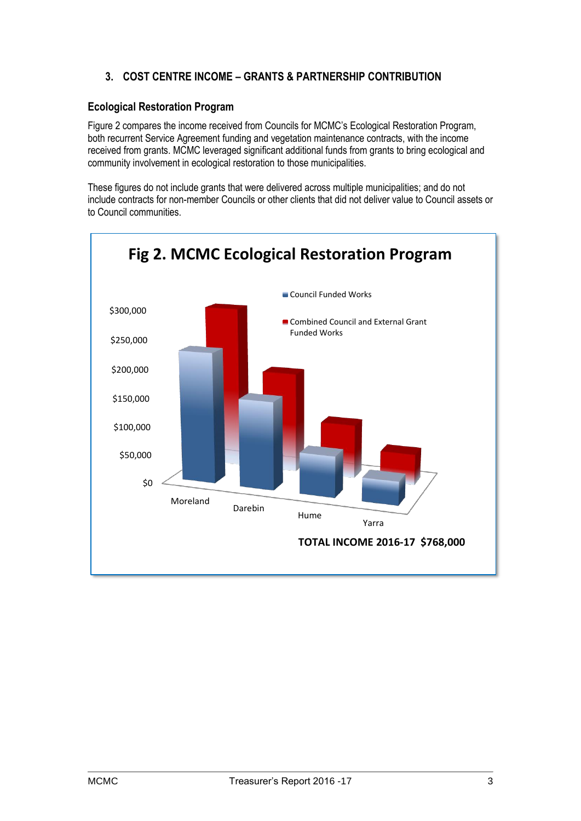# **3. COST CENTRE INCOME – GRANTS & PARTNERSHIP CONTRIBUTION**

#### **Ecological Restoration Program**

Figure 2 compares the income received from Councils for MCMC's Ecological Restoration Program, both recurrent Service Agreement funding and vegetation maintenance contracts, with the income received from grants. MCMC leveraged significant additional funds from grants to bring ecological and community involvement in ecological restoration to those municipalities.

These figures do not include grants that were delivered across multiple municipalities; and do not include contracts for non-member Councils or other clients that did not deliver value to Council assets or to Council communities.

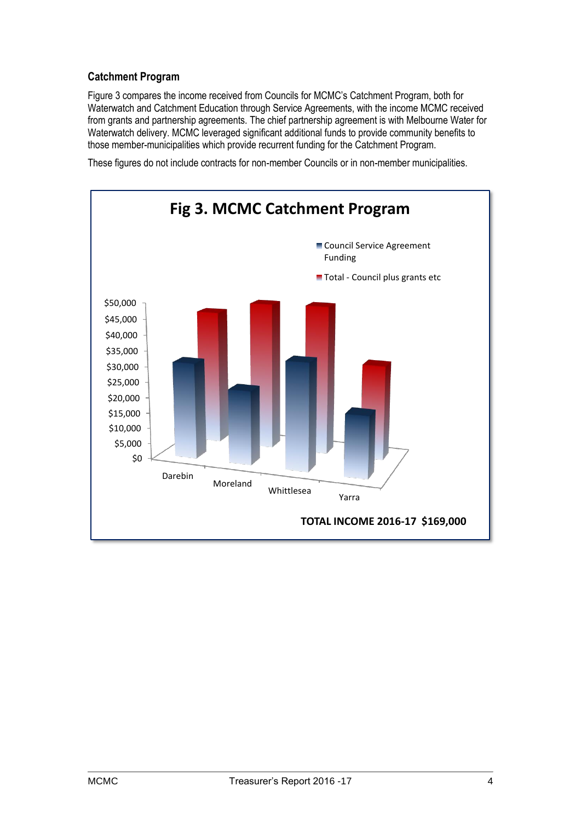#### **Catchment Program**

Figure 3 compares the income received from Councils for MCMC's Catchment Program, both for Waterwatch and Catchment Education through Service Agreements, with the income MCMC received from grants and partnership agreements. The chief partnership agreement is with Melbourne Water for Waterwatch delivery. MCMC leveraged significant additional funds to provide community benefits to those member-municipalities which provide recurrent funding for the Catchment Program.

These figures do not include contracts for non-member Councils or in non-member municipalities.

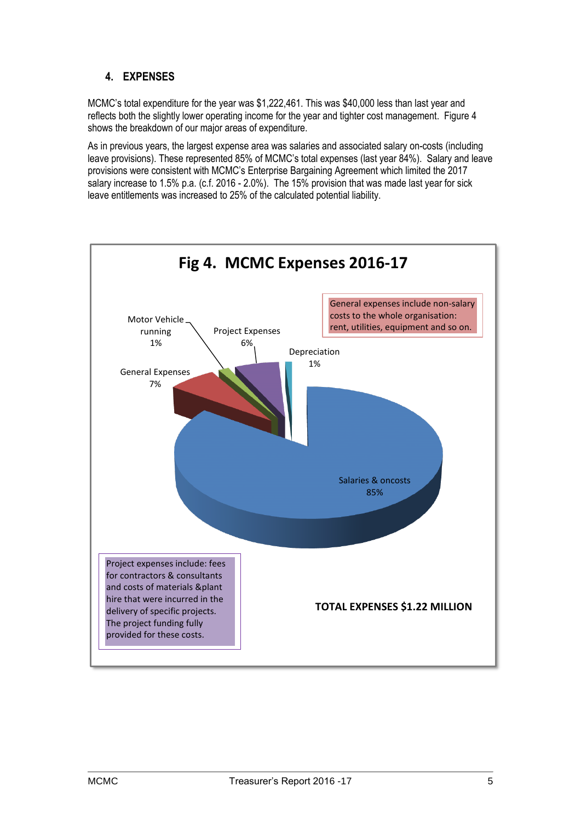# **4. EXPENSES**

MCMC's total expenditure for the year was \$1,222,461. This was \$40,000 less than last year and reflects both the slightly lower operating income for the year and tighter cost management. Figure 4 shows the breakdown of our major areas of expenditure.

As in previous years, the largest expense area was salaries and associated salary on-costs (including leave provisions). These represented 85% of MCMC's total expenses (last year 84%). Salary and leave provisions were consistent with MCMC's Enterprise Bargaining Agreement which limited the 2017 salary increase to 1.5% p.a. (c.f. 2016 - 2.0%). The 15% provision that was made last year for sick leave entitlements was increased to 25% of the calculated potential liability.

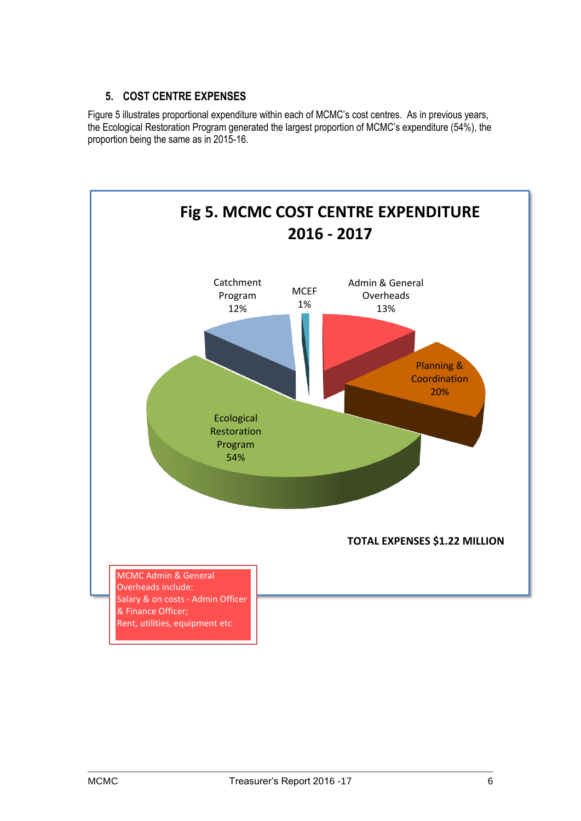### **5. COST CENTRE EXPENSES**

Figure 5 illustrates proportional expenditure within each of MCMC's cost centres. As in previous years, the Ecological Restoration Program generated the largest proportion of MCMC's expenditure (54%), the proportion being the same as in 2015-16.

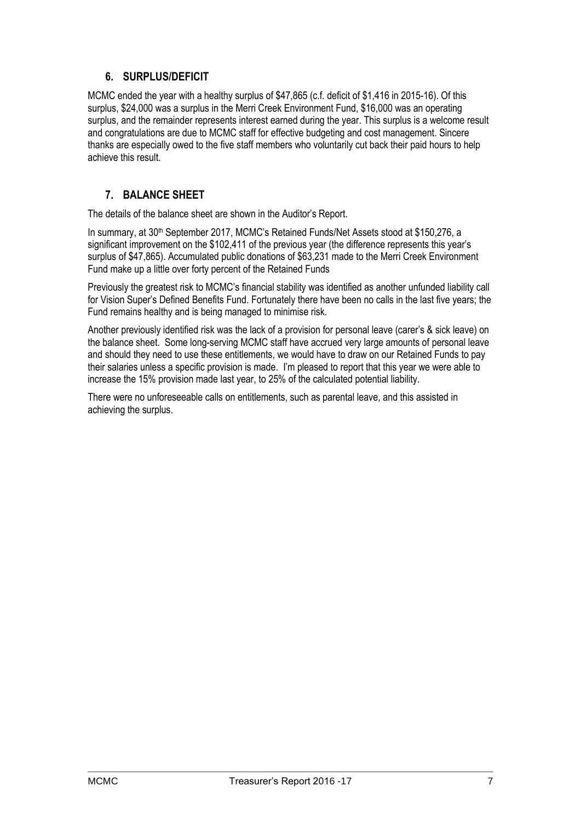#### **6. SURPLUS/DEFICIT**

MCMC ended the year with a healthy surplus of \$47,865 (c.f. deficit of \$1,416 in 2015-16). Of this surplus, \$24,000 was a surplus in the Merri Creek Environment Fund, \$16,000 was an operating surplus, and the remainder represents interest earned during the year. This surplus is a welcome result and congratulations are due to MCMC staff for effective budgeting and cost management. Sincere thanks are especially owed to the five staff members who voluntarily cut back their paid hours to help achieve this result.

### **7. BALANCE SHEET**

The details of the balance sheet are shown in the Auditor's Report.

In summary, at 30th September 2017, MCMC's Retained Funds/Net Assets stood at \$150,276, a significant improvement on the \$102,411 of the previous year (the difference represents this year's surplus of \$47,865). Accumulated public donations of \$63,231 made to the Merri Creek Environment Fund make up a little over forty percent of the Retained Funds

Previously the greatest risk to MCMC's financial stability was identified as another unfunded liability call for Vision Super's Defined Benefits Fund. Fortunately there have been no calls in the last five years; the Fund remains healthy and is being managed to minimise risk.

Another previously identified risk was the lack of a provision for personal leave (carer's & sick leave) on the balance sheet. Some long-serving MCMC staff have accrued very large amounts of personal leave and should they need to use these entitlements, we would have to draw on our Retained Funds to pay their salaries unless a specific provision is made. I'm pleased to report that this year we were able to increase the 15% provision made last year, to 25% of the calculated potential liability.

There were no unforeseeable calls on entitlements, such as parental leave, and this assisted in achieving the surplus.